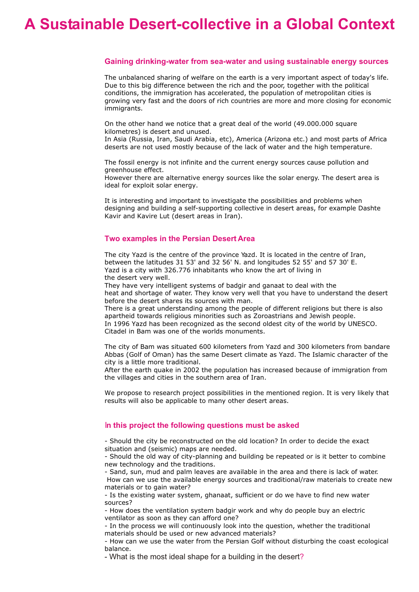# **A Sustainable Desert-collective in a Global Context**

### **Gaining drinking-water from sea-water and using sustainable energy sources**

The unbalanced sharing of welfare on the earth is a very important aspect of today's life. Due to this big difference between the rich and the poor, together with the political conditions, the immigration has accelerated, the population of metropolitan cities is growing very fast and the doors of rich countries are more and more closing for economic immigrants.

On the other hand we notice that a great deal of the world (49.000.000 square kilometres) is desert and unused.

In Asia (Russia, Iran, Saudi Arabia, etc), America (Arizona etc.) and most parts of Africa deserts are not used mostly because of the lack of water and the high temperature.

The fossil energy is not infinite and the current energy sources cause pollution and greenhouse effect.

However there are alternative energy sources like the solar energy. The desert area is ideal for exploit solar energy.

It is interesting and important to investigate the possibilities and problems when designing and building a self-supporting collective in desert areas, for example Dashte Kavir and Kavire Lut (desert areas in Iran).

## **Two examples in the Persian Desert Area**

The city Yazd is the centre of the province Yazd. It is located in the centre of Iran, between the latitudes 31 53' and 32 56' N. and longitudes 52 55' and 57 30' E. Yazd is a city with 326.776 inhabitants who know the art of living in the desert very well.

They have very intelligent systems of badgir and ganaat to deal with the heat and shortage of water. They know very well that you have to understand the desert before the desert shares its sources with man.

There is a great understanding among the people of different religions but there is also apartheid towards religious minorities such as Zoroastrians and Jewish people. In 1996 Yazd has been recognized as the second oldest city of the world by UNESCO. Citadel in Bam was one of the worlds monuments.

The city of Bam was situated 600 kilometers from Yazd and 300 kilometers from bandare Abbas (Golf of Oman) has the same Desert climate as Yazd. The Islamic character of the city is a little more traditional.

After the earth quake in 2002 the population has increased because of immigration from the villages and cities in the southern area of Iran.

We propose to research project possibilities in the mentioned region. It is very likely that results will also be applicable to many other desert areas.

## I**n this project the following questions must be asked**

- Should the city be reconstructed on the old location? In order to decide the exact situation and (seismic) maps are needed.

- Should the old way of city-planning and building be repeated or is it better to combine new technology and the traditions.

- Sand, sun, mud and palm leaves are available in the area and there is lack of water. How can we use the available energy sources and traditional/raw materials to create new materials or to gain water?

- Is the existing water system, ghanaat, sufficient or do we have to find new water sources?

- How does the ventilation system badgir work and why do people buy an electric ventilator as soon as they can afford one?

- In the process we will continuously look into the question, whether the traditional materials should be used or new advanced materials?

- How can we use the water from the Persian Golf without disturbing the coast ecological balance.

- What is the most ideal shape for a building in the desert?